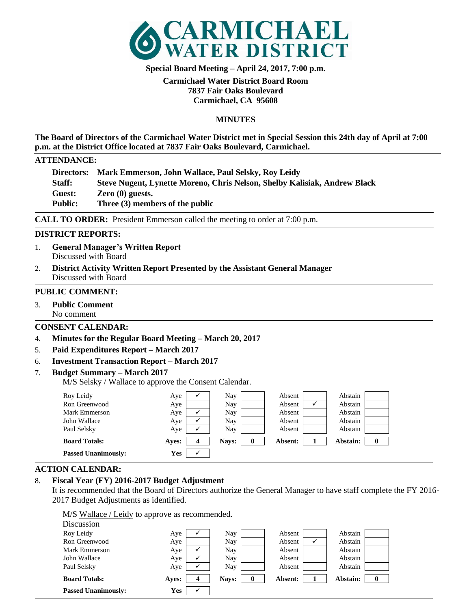

**Special Board Meeting – April 24, 2017, 7:00 p.m.**

## **Carmichael Water District Board Room 7837 Fair Oaks Boulevard Carmichael, CA 95608**

## **MINUTES**

**The Board of Directors of the Carmichael Water District met in Special Session this 24th day of April at 7:00 p.m. at the District Office located at 7837 Fair Oaks Boulevard, Carmichael.** 

### **ATTENDANCE:**

|                | Directors: Mark Emmerson, John Wallace, Paul Selsky, Roy Leidy            |
|----------------|---------------------------------------------------------------------------|
| Staff:         | Steve Nugent, Lynette Moreno, Chris Nelson, Shelby Kalisiak, Andrew Black |
| <b>Guest:</b>  | $Zero(0)$ guests.                                                         |
| <b>Public:</b> | Three (3) members of the public                                           |

**CALL TO ORDER:** President Emmerson called the meeting to order at  $7:00$  p.m.

### **DISTRICT REPORTS:**

- 1. **General Manager's Written Report** Discussed with Board
- 2. **District Activity Written Report Presented by the Assistant General Manager** Discussed with Board

### **PUBLIC COMMENT:**

3. **Public Comment** No comment

## **CONSENT CALENDAR:**

- 4. **Minutes for the Regular Board Meeting – March 20, 2017**
- 5. **Paid Expenditures Report – March 2017**

## 6. **Investment Transaction Report – March 2017**

7. **Budget Summary – March 2017**

M/S Selsky / Wallace to approve the Consent Calendar.

| Roy Leidy                  | Aye   |   | Nay   | Absent  | Abstain  |  |
|----------------------------|-------|---|-------|---------|----------|--|
| Ron Greenwood              | Aye   |   | Nay   | Absent  | Abstain  |  |
| Mark Emmerson              | Aye   |   | Nay   | Absent  | Abstain  |  |
| John Wallace               | Aye   |   | Nay   | Absent  | Abstain  |  |
| Paul Selsky                | Aye   |   | Nav   | Absent  | Abstain  |  |
| <b>Board Totals:</b>       | Aves: | 4 | Nays: | Absent: | Abstain: |  |
| <b>Passed Unanimously:</b> | Yes   |   |       |         |          |  |

## **ACTION CALENDAR:**

## 8. **Fiscal Year (FY) 2016-2017 Budget Adjustment**

It is recommended that the Board of Directors authorize the General Manager to have staff complete the FY 2016- 2017 Budget Adjustments as identified.

M/S Wallace / Leidy to approve as recommended. Discussion

| <b>Passed Unanimously:</b> | Yes   |                  |       |             |         |          |  |
|----------------------------|-------|------------------|-------|-------------|---------|----------|--|
| <b>Board Totals:</b>       | Aves: | $\boldsymbol{4}$ | Navs: | $\mathbf 0$ | Absent: | Abstain: |  |
| Paul Selsky                | Aye   |                  | Nay   |             | Absent  | Abstain  |  |
| John Wallace               | Aye   |                  | Nay   |             | Absent  | Abstain  |  |
| Mark Emmerson              | Aye   |                  | Nay   |             | Absent  | Abstain  |  |
| Ron Greenwood              | Aye   |                  | Nay   |             | Absent  | Abstain  |  |
| Roy Leidy                  | Aye   |                  | Nay   |             | Absent  | Abstain  |  |
| <b>DISCUSSIOII</b>         |       |                  |       |             |         |          |  |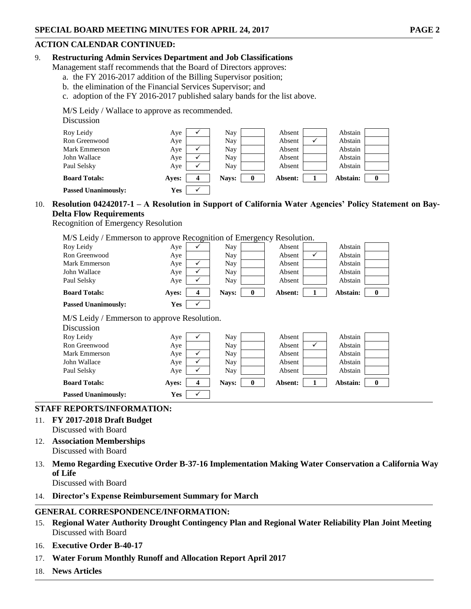## **ACTION CALENDAR CONTINUED:**

### 9. **Restructuring Admin Services Department and Job Classifications**

- Management staff recommends that the Board of Directors approves:
	- a. the FY 2016-2017 addition of the Billing Supervisor position;
	- b. the elimination of the Financial Services Supervisor; and
	- c. adoption of the FY 2016-2017 published salary bands for the list above.

M/S Leidy / Wallace to approve as recommended.

# **Discussion**

| <b>Passed Unanimously:</b> | Yes   |                  |       |         |          |   |
|----------------------------|-------|------------------|-------|---------|----------|---|
| <b>Board Totals:</b>       | Aves: | $\boldsymbol{4}$ | Navs: | Absent: | Abstain: | 0 |
| Paul Selsky                | Aye   |                  | Nay   | Absent  | Abstain  |   |
| John Wallace               | Aye   |                  | Nay   | Absent  | Abstain  |   |
| Mark Emmerson              | Aye   |                  | Nay   | Absent  | Abstain  |   |
| Ron Greenwood              | Aye   |                  | Nay   | Absent  | Abstain  |   |
| Roy Leidy                  | Aye   |                  | Nay   | Absent  | Abstain  |   |

# 10. **Resolution 04242017-1 – A Resolution in Support of California Water Agencies' Policy Statement on Bay-Delta Flow Requirements**

Recognition of Emergency Resolution

M/S Leidy / Emmerson to approve Recognition of Emergency Resolution.

| Roy Leidy                                   | Aye        | ✓ | Nay   |          | Absent  |   | Abstain  |          |  |
|---------------------------------------------|------------|---|-------|----------|---------|---|----------|----------|--|
| Ron Greenwood                               | Aye        |   | Nay   |          | Absent  | ✓ | Abstain  |          |  |
| Mark Emmerson                               | Aye        | ✓ | Nay   |          | Absent  |   | Abstain  |          |  |
| John Wallace                                | Aye        | ✓ | Nay   |          | Absent  |   | Abstain  |          |  |
| Paul Selsky                                 | Aye        | ✓ | Nay   |          | Absent  |   | Abstain  |          |  |
| <b>Board Totals:</b>                        | Ayes:      | 4 | Nays: | $\bf{0}$ | Absent: | 1 | Abstain: | $\bf{0}$ |  |
| <b>Passed Unanimously:</b>                  | <b>Yes</b> |   |       |          |         |   |          |          |  |
| M/S Leidy / Emmerson to approve Resolution. |            |   |       |          |         |   |          |          |  |
| Discussion                                  |            |   |       |          |         |   |          |          |  |
| Roy Leidy                                   | Aye        | ✓ | Nay   |          | Absent  |   | Abstain  |          |  |
| Ron Greenwood                               | Aye        |   | Nay   |          | Absent  | ✓ | Abstain  |          |  |
| Mark Emmerson                               | Aye        | ✓ | Nay   |          | Absent  |   | Abstain  |          |  |
| John Wallace                                | Aye        | ✓ | Nay   |          | Absent  |   | Abstain  |          |  |
| Paul Selsky                                 | Aye        | ✓ | Nay.  |          | Absent  |   | Abstain  |          |  |
| <b>Board Totals:</b>                        | Ayes:      | 4 | Nays: | $\bf{0}$ | Absent: | 1 | Abstain: | $\bf{0}$ |  |
| <b>Passed Unanimously:</b>                  | <b>Yes</b> | ✓ |       |          |         |   |          |          |  |

## **STAFF REPORTS/INFORMATION:**

- 11. **FY 2017-2018 Draft Budget** Discussed with Board
- 12. **Association Memberships** Discussed with Board
- 13. **Memo Regarding Executive Order B-37-16 Implementation Making Water Conservation a California Way of Life**

Discussed with Board

## 14. **Director's Expense Reimbursement Summary for March**

## **GENERAL CORRESPONDENCE/INFORMATION:**

- 15. **Regional Water Authority Drought Contingency Plan and Regional Water Reliability Plan Joint Meeting** Discussed with Board
- 16. **Executive Order B-40-17**
- 17. **Water Forum Monthly Runoff and Allocation Report April 2017**
- 18. **News Articles**